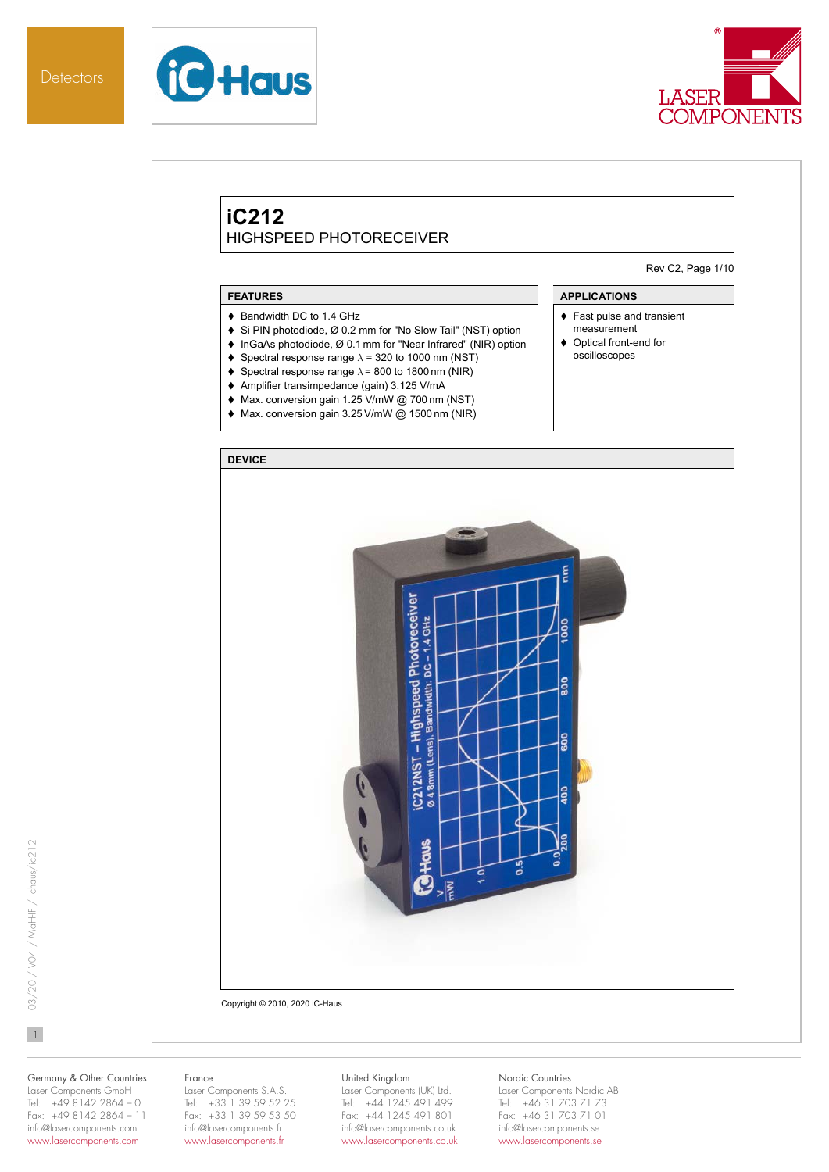



# **iC212** HIGHSPEED PHOTORECEIVER

Rev C2, Page 1/10

## **FEATURES**

- ♦ Bandwidth DC to 1.4 GHz
- ◆ Si PIN photodiode, Ø 0.2 mm for "No Slow Tail" (NST) option
- ◆ InGaAs photodiode, Ø 0.1 mm for "Near Infrared" (NIR) option
- Spectral response range  $\lambda$  = 320 to 1000 nm (NST)
- $\blacklozenge$  Spectral response range  $\lambda$  = 800 to 1800 nm (NIR)
- Amplifier transimpedance (gain) 3.125 V/mA
- Max. conversion gain 1.25 V/mW @ 700 nm (NST)
- Max. conversion gain 3.25 V/mW @ 1500 nm (NIR)

## **APPLICATIONS**

- ◆ Fast pulse and transient measurement
- ◆ Optical front-end for oscilloscopes



 $\mathbf{1}$ 

# Germany & Other Countries Laser Components GmbH

# Tel: +49 8142 2864 – 0 Fax: +49 8142 2864 – 11 info@lasercomponents.com www.lasercomponents.com

#### France

Laser Components S.A.S. Tel: +33 1 39 59 52 25 Fax: +33 1 39 59 53 50 info@lasercomponents.fr www.lasercomponents.fr

#### United Kingdom

Laser Components (UK) Ltd. Tel: +44 1245 491 499 Fax: +44 1245 491 801 info@lasercomponents.co.uk www.lasercomponents.co.uk

# Nordic Countries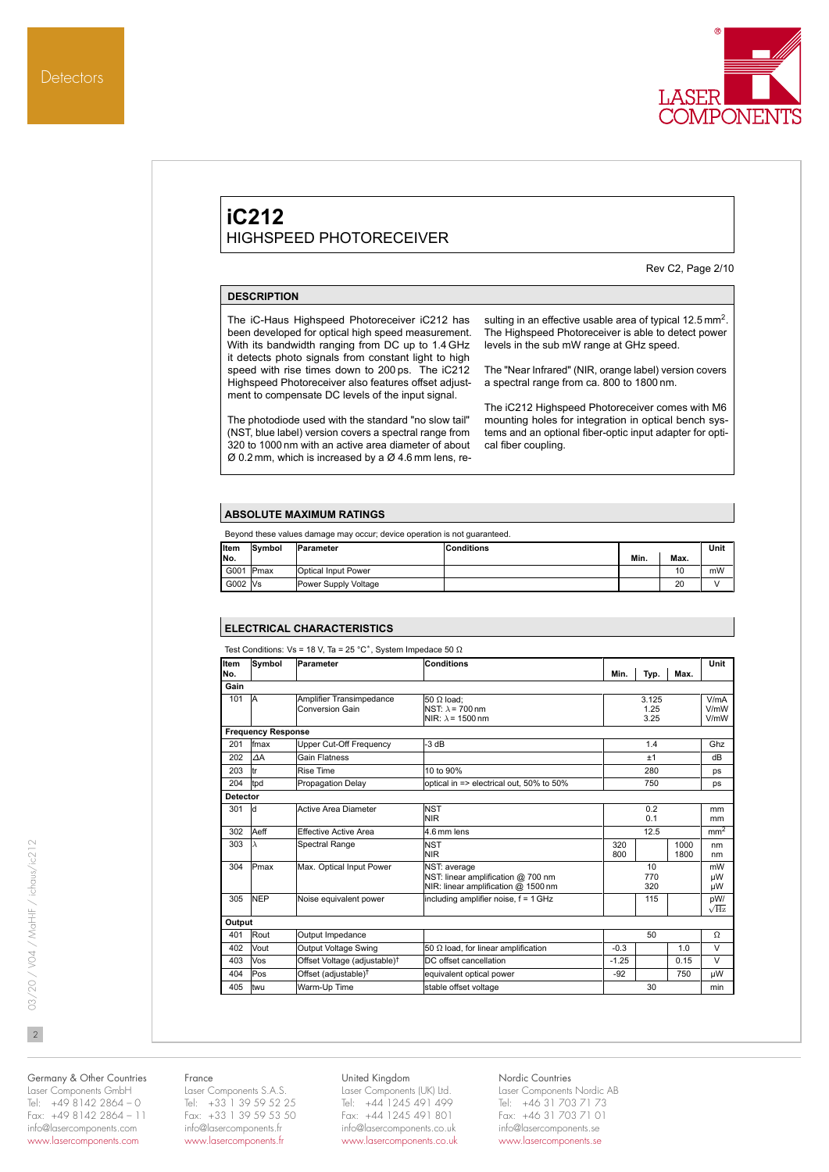

Rev C2, Page 2/10



(NST, blue label) version covers a spectral range from 320 to 1000 nm with an active area diameter of about Ø 0.2 mm, which is increased by a Ø 4.6 mm lens, resulting in an effective usable area of typical 12.5 mm<sup>2</sup>. The Highspeed Photoreceiver is able to detect power levels in the sub mW range at GHz speed.

The "Near Infrared" (NIR, orange label) version covers a spectral range from ca. 800 to 1800 nm.

The iC212 Highspeed Photoreceiver comes with M6 mounting holes for integration in optical bench systems and an optional fiber-optic input adapter for optical fiber coupling.

#### **ABSOLUTE MAXIMUM RATINGS**

| Beyond these values damage may occur; device operation is not quaranteed. |        |                      |                   |      |      |      |  |  |
|---------------------------------------------------------------------------|--------|----------------------|-------------------|------|------|------|--|--|
| Item                                                                      | Symbol | Parameter            | <b>Conditions</b> |      |      | Unit |  |  |
| No.                                                                       |        |                      |                   | Min. | Max. |      |  |  |
| G001 Pmax                                                                 |        | Optical Input Power  |                   |      | 10   | mW   |  |  |
| G002 Vs                                                                   |        | Power Supply Voltage |                   |      | 20   |      |  |  |

#### **ELECTRICAL CHARACTERISTICS**

| Item            | Symbol                    | Parameter                                   | <b>Conditions</b>                                                                         |            |                       |              | Unit                 |
|-----------------|---------------------------|---------------------------------------------|-------------------------------------------------------------------------------------------|------------|-----------------------|--------------|----------------------|
| No.             |                           |                                             |                                                                                           | Min.       | Typ.                  | Max.         |                      |
| Gain            |                           |                                             |                                                                                           |            |                       |              |                      |
| 101             | <b>IA</b>                 | Amplifier Transimpedance<br>Conversion Gain | $50 \Omega$ load:<br>NST: $\lambda$ = 700 nm<br>NIR: $\lambda$ = 1500 nm                  |            | 3.125<br>1.25<br>3.25 |              | V/mA<br>V/mW<br>V/mW |
|                 | <b>Frequency Response</b> |                                             |                                                                                           |            |                       |              |                      |
| 201             | fmax                      | Upper Cut-Off Frequency                     | $-3 dB$                                                                                   |            | 1.4                   |              | Ghz                  |
| 202             | $\Delta A$                | <b>Gain Flatness</b>                        |                                                                                           |            | ±1                    |              | dB                   |
| 203             | ltr                       | Rise Time                                   | 10 to 90%                                                                                 |            | 280                   |              | ps                   |
| 204             | tpd                       | <b>Propagation Delay</b>                    | optical in => electrical out, 50% to 50%                                                  |            | 750                   |              | ps                   |
| <b>Detector</b> |                           |                                             |                                                                                           |            |                       |              |                      |
| 301             | ld                        | Active Area Diameter                        | <b>NST</b><br><b>NIR</b>                                                                  |            | 0.2<br>0.1            |              | mm<br>mm             |
| 302             | Aeff                      | Effective Active Area                       | 4.6 mm lens                                                                               |            | 12.5                  |              | mm <sup>2</sup>      |
| 303             | $\lambda$                 | Spectral Range                              | <b>NST</b><br><b>NIR</b>                                                                  | 320<br>800 |                       | 1000<br>1800 | nm<br>nm             |
| 304             | Pmax                      | Max. Optical Input Power                    | NST: average<br>NST: linear amplification @ 700 nm<br>NIR: linear amplification @ 1500 nm |            | 10<br>770<br>320      |              | mW<br>μW<br>μW       |
| 305             | <b>NEP</b>                | Noise equivalent power                      | including amplifier noise, f = 1 GHz                                                      |            | 115                   |              | pW/<br>$\sqrt{Hz}$   |
| Output          |                           |                                             |                                                                                           |            |                       |              |                      |
| 401             | Rout                      | Output Impedance                            |                                                                                           |            | 50                    |              | Ω                    |
| 402             | Vout                      | Output Voltage Swing                        | 50 $\Omega$ load, for linear amplification                                                | $-0.3$     |                       | 1.0          | $\vee$               |
| 403             | Vos                       | Offset Voltage (adjustable) <sup>†</sup>    | DC offset cancellation                                                                    | $-1.25$    |                       | 0.15         | $\vee$               |
| 404             | Pos                       | Offset (adjustable) <sup>†</sup>            | equivalent optical power                                                                  | $-92$      |                       | 750          | uW                   |
| 405             | twu                       | Warm-Up Time                                | stable offset voltage                                                                     |            | 30                    |              | min                  |

 $\overline{2}$ 

Germany & Other Countries Laser Components GmbH Tel: +49 8142 2864 – 0 Fax: +49 8142 2864 – 11 info@lasercomponents.com

www.lasercomponents.com

#### France

Laser Components S.A.S. Tel: +33 1 39 59 52 25 Fax: +33 1 39 59 53 50 info@lasercomponents.fr www.lasercomponents.fr

#### United Kingdom

Laser Components (UK) Ltd. Tel: +44 1245 491 499 Fax: +44 1245 491 801 info@lasercomponents.co.uk www.lasercomponents.co.uk

## Nordic Countries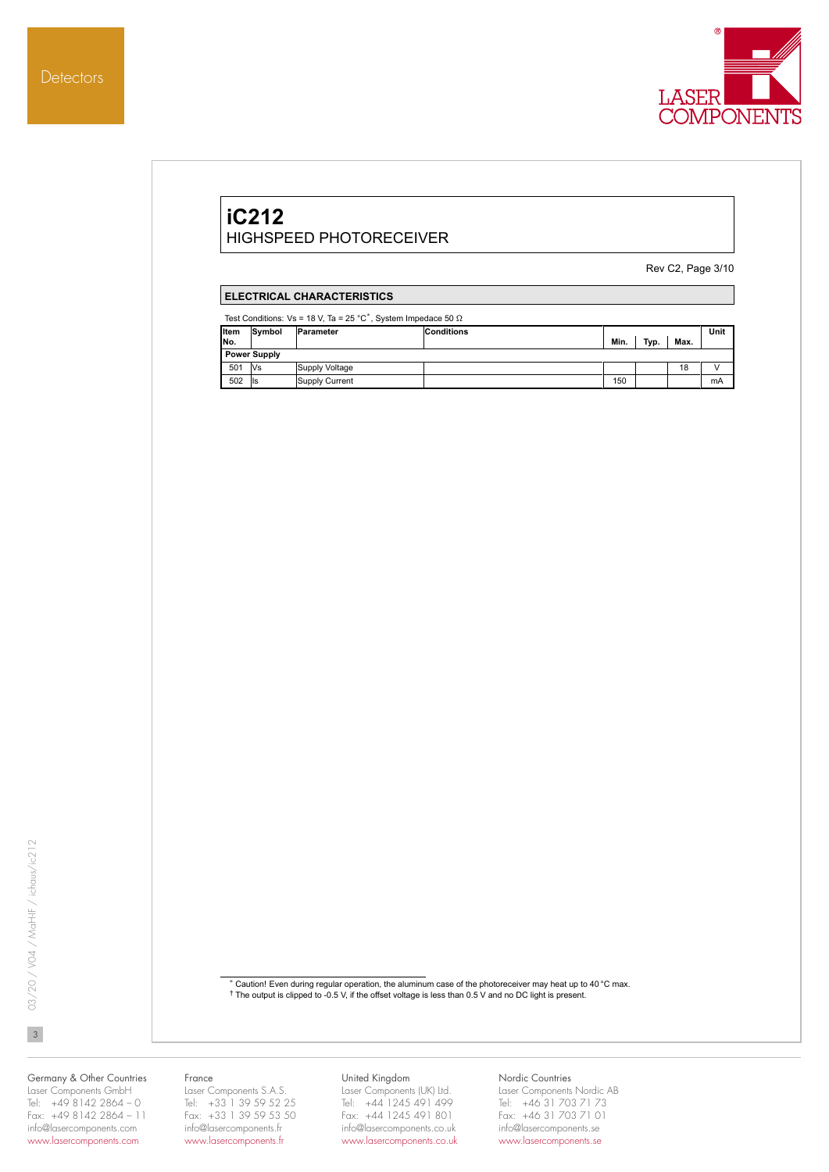

# **iC212** HIGHSPEED PHOTORECEIVER

Rev C2, Page 3/10

# **ELECTRICAL CHARACTERISTICS**

Test Conditions: Vs = 18 V, Ta = 25 °C<sup>\*</sup>, System Impedace 50  $\Omega$ 

| Symbol              |  |                                               |                   |      |      | Unit |  |
|---------------------|--|-----------------------------------------------|-------------------|------|------|------|--|
|                     |  |                                               | Min.              | Typ. | Max. |      |  |
| <b>Power Supply</b> |  |                                               |                   |      |      |      |  |
| <b>Vs</b>           |  |                                               |                   |      | 18   |      |  |
| lls                 |  |                                               | 150               |      |      | mA   |  |
|                     |  | Parameter<br>Supply Voltage<br>Supply Current | <b>Conditions</b> |      |      |      |  |

 $\overline{3}$ 

 $^*$  Caution! Even during regular operation, the aluminum case of the photoreceiver may heat up to 40 °C max.<br>† The output is clipped to -0.5 V, if the offset voltage is less than 0.5 V and no DC light is present.

#### Germany & Other Countries Laser Components GmbH Tel: +49 8142 2864 – 0 Fax: +49 8142 2864 – 11 info@lasercomponents.com

www.lasercomponents.com

#### France

Laser Components S.A.S. Tel: +33 1 39 59 52 25 Fax: +33 1 39 59 53 50 info@lasercomponents.fr www.lasercomponents.fr

# United Kingdom

Laser Components (UK) Ltd. Tel: +44 1245 491 499 Fax: +44 1245 491 801 info@lasercomponents.co.uk www.lasercomponents.co.uk

#### Nordic Countries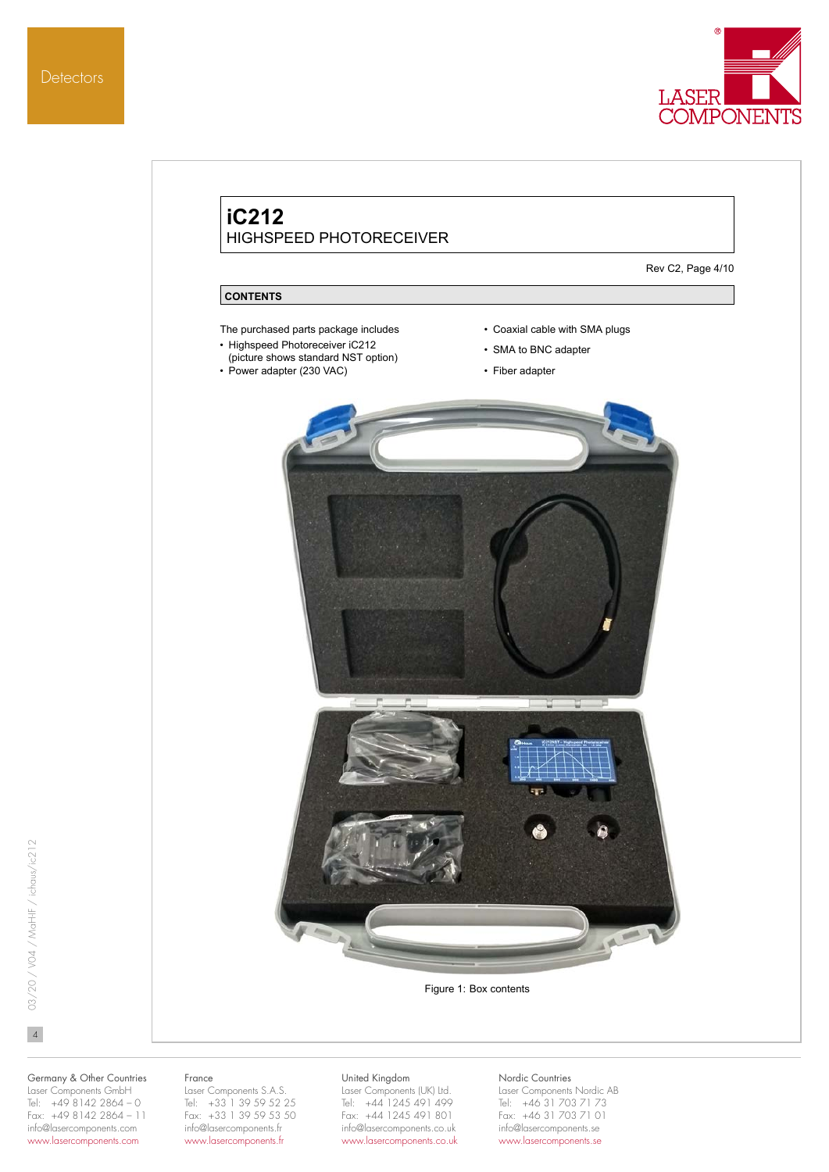



Figure 1: Box contents

 $\overline{4}$ 

Germany & Other Countries Laser Components GmbH Tel: +49 8142 2864 – 0 Fax: +49 8142 2864 – 11 info@lasercomponents.com www.lasercomponents.com

#### France

Laser Components S.A.S. Tel: +33 1 39 59 52 25 Fax: +33 1 39 59 53 50 info@lasercomponents.fr www.lasercomponents.fr

#### United Kingdom

Laser Components (UK) Ltd. Tel: +44 1245 491 499 Fax: +44 1245 491 801 info@lasercomponents.co.uk www.lasercomponents.co.uk

## Nordic Countries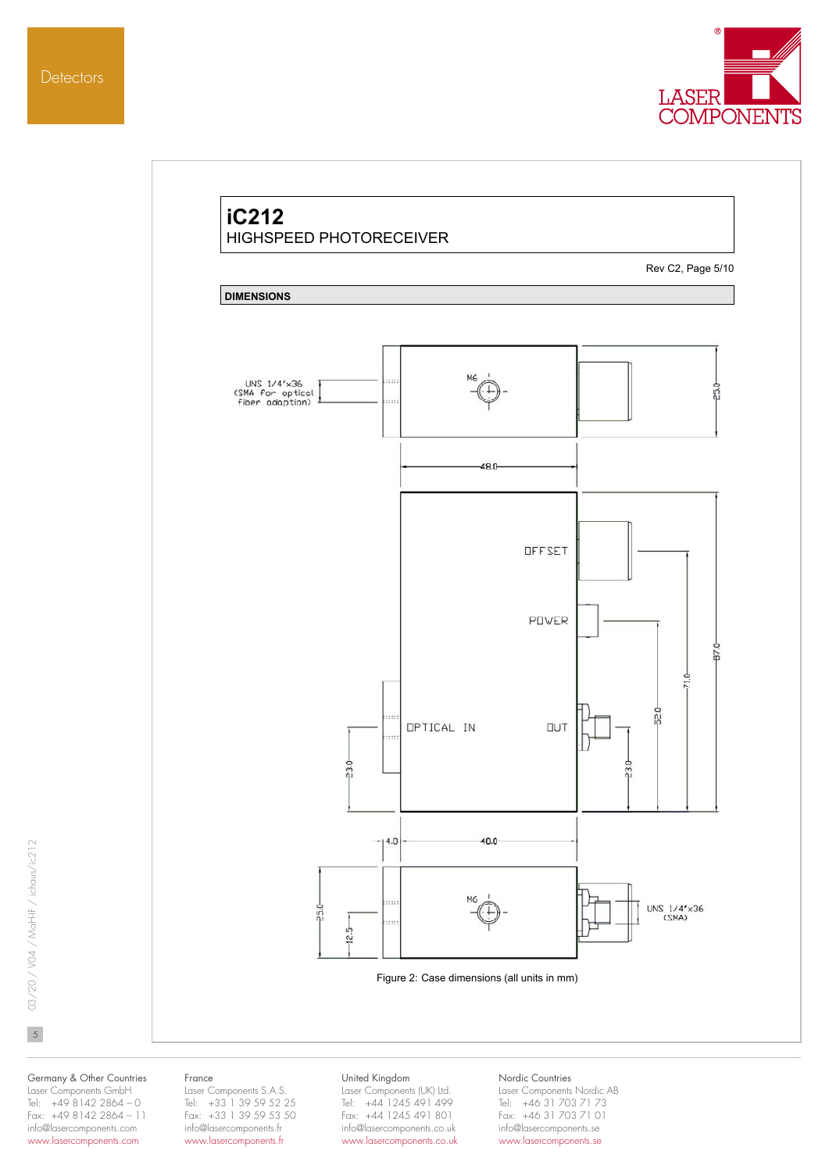

# **iC212** HIGHSPEED PHOTORECEIVER Rev C2, Page 5/10 **DIMENSIONS** UNS 1/4"x36<br>(SMA for optical<br>fiber adaption) . . . ŗ 48.0 **OFFSET** POWER 47. ę F 52.0 **OPTICAL IN DUT** a.  $230$ 230  $14.8$ 48.0 M6 UNS  $1/4' \times 36$ <br>(SMA)  $-250$  $12.5$ Figure 2: Case dimensions (all units in mm)

03/20 / V04 / MaH-IF / ichaus/ic212 503/20 / V04 / MaH-IF / ichaus/ic212

 $5\overline{)}$ 

Germany & Other Countries Laser Components GmbH Tel: +49 8142 2864 – 0 Fax: +49 8142 2864 – 11 info@lasercomponents.com

www.lasercomponents.com

#### France

Laser Components S.A.S. Tel: +33 1 39 59 52 25 Fax: +33 1 39 59 53 50 info@lasercomponents.fr www.lasercomponents.fr

#### United Kingdom

Laser Components (UK) Ltd. Tel: +44 1245 491 499 Fax: +44 1245 491 801 info@lasercomponents.co.uk www.lasercomponents.co.uk

#### Nordic Countries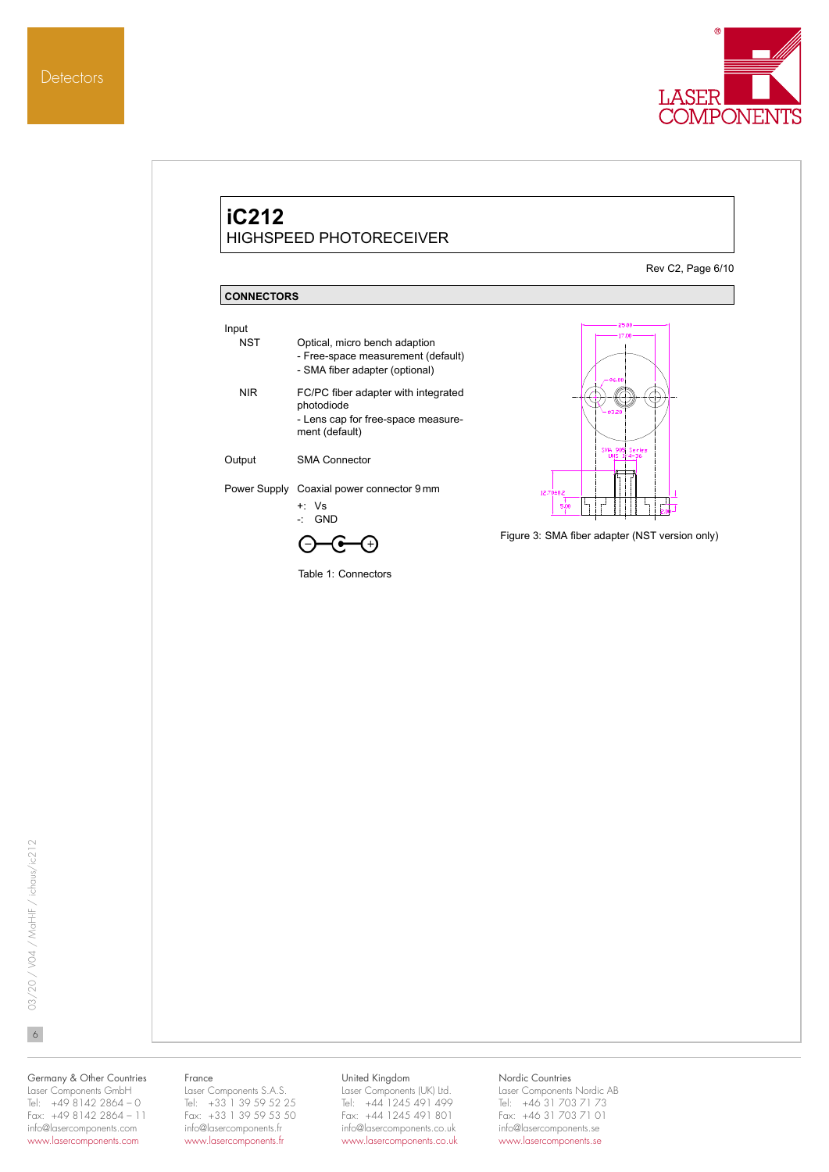



03/20 / V04 / MaH-IF / ichaus/ic212 603/20 / V04 / MaH-IF / ichaus/ic212

 $6\overline{6}$ 

#### Germany & Other Countries Laser Components GmbH Tel: +49 8142 2864 – 0 Fax: +49 8142 2864 – 11 info@lasercomponents.com www.lasercomponents.com

#### France

Laser Components S.A.S. Tel: +33 1 39 59 52 25 Fax: +33 1 39 59 53 50 info@lasercomponents.fr www.lasercomponents.fr

# United Kingdom

Laser Components (UK) Ltd. Tel: +44 1245 491 499 Fax: +44 1245 491 801 info@lasercomponents.co.uk www.lasercomponents.co.uk

# Nordic Countries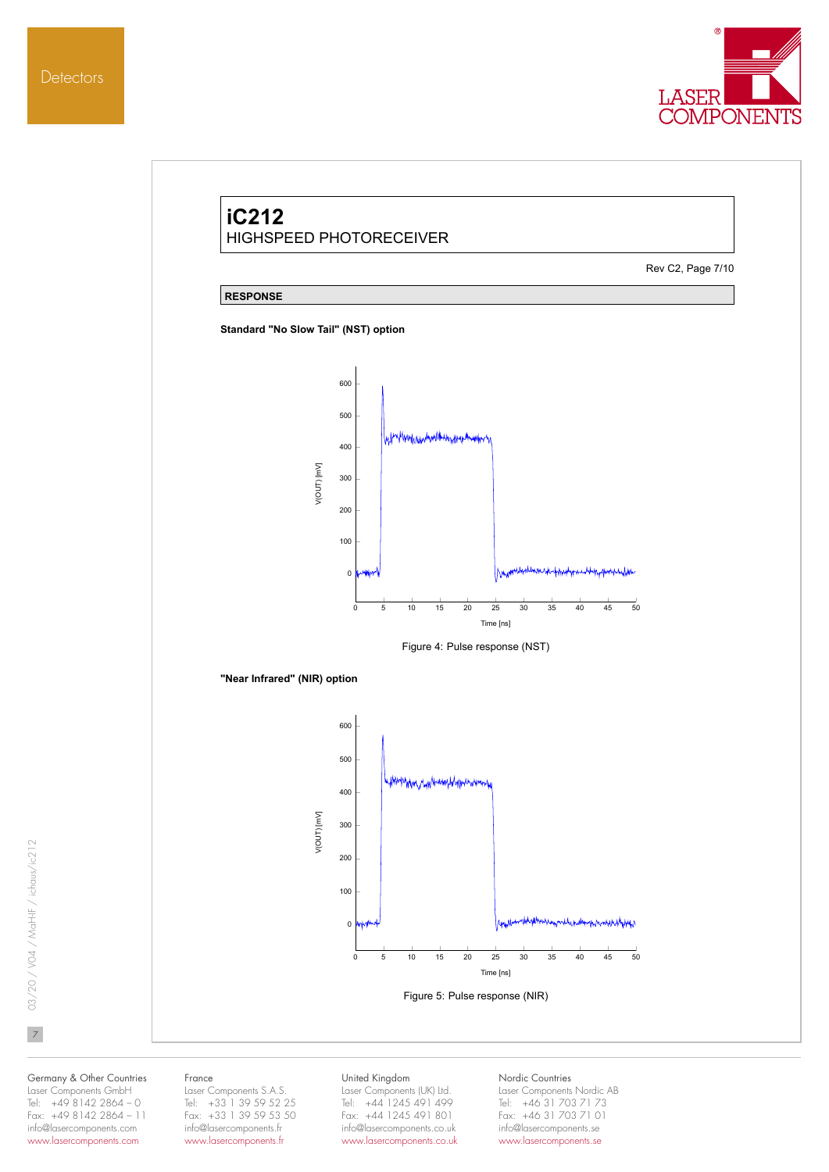

# **iC212** HIGHSPEED PHOTORECEIVER Rev C2, Page 7/10 **RESPONSE Standard "No Slow Tail" (NST) option** 600 500 Many be a man the work of 400 VIOUT) [mV] V(OUT) [mV] 300 200 100  $\mathbf{0}$ 0 5 10 15 20 25 30 35 40 45 50 Time [ns] Figure 4: Pulse response (NST) **"Near Infrared" (NIR) option** 600 500 400 V(OUT) [mV] V(OUT) [mV] 300 200 100  $\theta$ 0 5 10 15 20 25 30 35 40 45 50 Time [ns] Figure 5: Pulse response (NIR)

03/20 / V04 / MaH-IF / ichaus/ic212 703/20 / V04 / MaH-IF / ichaus/ic212

 $\overline{7}$ 

Germany & Other Countries Laser Components GmbH Tel: +49 8142 2864 – 0 Fax: +49 8142 2864 – 11

info@lasercomponents.com www.lasercomponents.com

#### France

Laser Components S.A.S. Tel: +33 1 39 59 52 25 Fax: +33 1 39 59 53 50 info@lasercomponents.fr www.lasercomponents.fr

#### United Kingdom

Laser Components (UK) Ltd. Tel: +44 1245 491 499 Fax: +44 1245 491 801 info@lasercomponents.co.uk www.lasercomponents.co.uk

#### Nordic Countries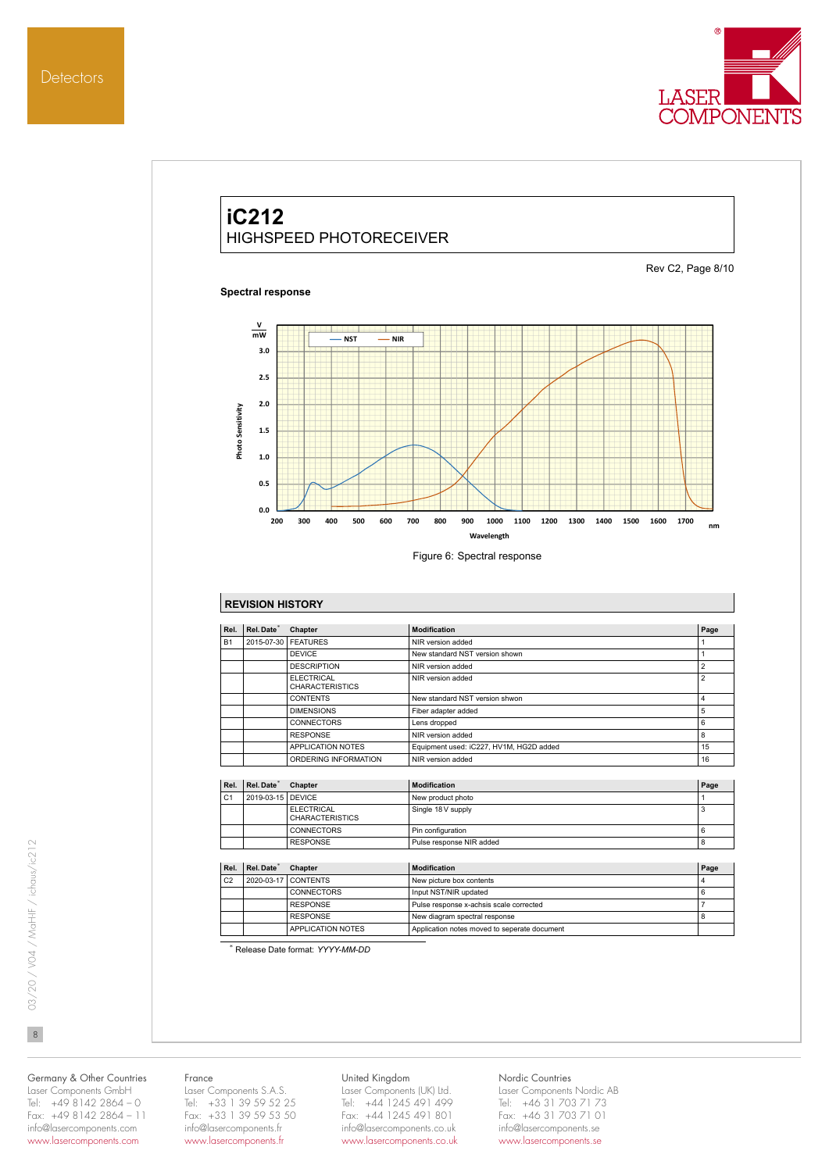

# **iC212** HIGHSPEED PHOTORECEIVER

#### **Spectral response**

Rev C2, Page 8/10



# **REVISION HISTORY**

| Rel. | Rel. Date* | Chapter                                     | Modification                            | Page           |
|------|------------|---------------------------------------------|-----------------------------------------|----------------|
| B1   | 2015-07-30 | <b>FFATURES</b>                             | NIR version added                       |                |
|      |            | <b>DEVICE</b>                               | New standard NST version shown          |                |
|      |            | <b>DESCRIPTION</b>                          | NIR version added                       | $\overline{2}$ |
|      |            | <b>FLECTRICAL</b><br><b>CHARACTERISTICS</b> | NIR version added                       | $\overline{2}$ |
|      |            | <b>CONTENTS</b>                             | New standard NST version shwon          | 4              |
|      |            | <b>DIMENSIONS</b>                           | Fiber adapter added                     | 5              |
|      |            | <b>CONNECTORS</b>                           | Lens dropped                            | 6              |
|      |            | <b>RESPONSE</b>                             | NIR version added                       | 8              |
|      |            | APPLICATION NOTES                           | Equipment used: iC227, HV1M, HG2D added | 15             |
|      |            | ORDERING INFORMATION                        | NIR version added                       | 16             |

| Rel.           | Rel. Date <sup>®</sup> | <b>Chapter</b>                              | Modification             | Page |
|----------------|------------------------|---------------------------------------------|--------------------------|------|
| C <sub>1</sub> | 2019-03-15 DEVICE      |                                             | New product photo        |      |
|                |                        | <b>FLECTRICAL</b><br><b>CHARACTERISTICS</b> | Single 18 V supply       | - 33 |
|                |                        | <b>CONNECTORS</b>                           | Pin configuration        | 6    |
|                |                        | <b>RESPONSE</b>                             | Pulse response NIR added | 8    |

| Rel.           | Rel. Date <sup>*</sup> | <b>Chapter</b>      | <b>Modification</b>                          | Page |
|----------------|------------------------|---------------------|----------------------------------------------|------|
| C <sub>2</sub> |                        | 2020-03-17 CONTENTS | New picture box contents                     |      |
|                |                        | CONNECTORS          | Input NST/NIR updated                        |      |
|                |                        | <b>RESPONSE</b>     | Pulse response x-achsis scale corrected      |      |
|                |                        | <b>RESPONSE</b>     | New diagram spectral response                |      |
|                |                        | APPLICATION NOTES   | Application notes moved to seperate document |      |

\* Release Date format: *YYYY-MM-DD*

 $\overline{8}$ 

Germany & Other Countries Laser Components GmbH Tel: +49 8142 2864 – 0 Fax: +49 8142 2864 – 11

info@lasercomponents.com www.lasercomponents.com

#### France

Laser Components S.A.S. Tel: +33 1 39 59 52 25 Fax: +33 1 39 59 53 50 info@lasercomponents.fr www.lasercomponents.fr

#### United Kingdom

Laser Components (UK) Ltd. Tel: +44 1245 491 499 Fax: +44 1245 491 801 info@lasercomponents.co.uk www.lasercomponents.co.uk

## Nordic Countries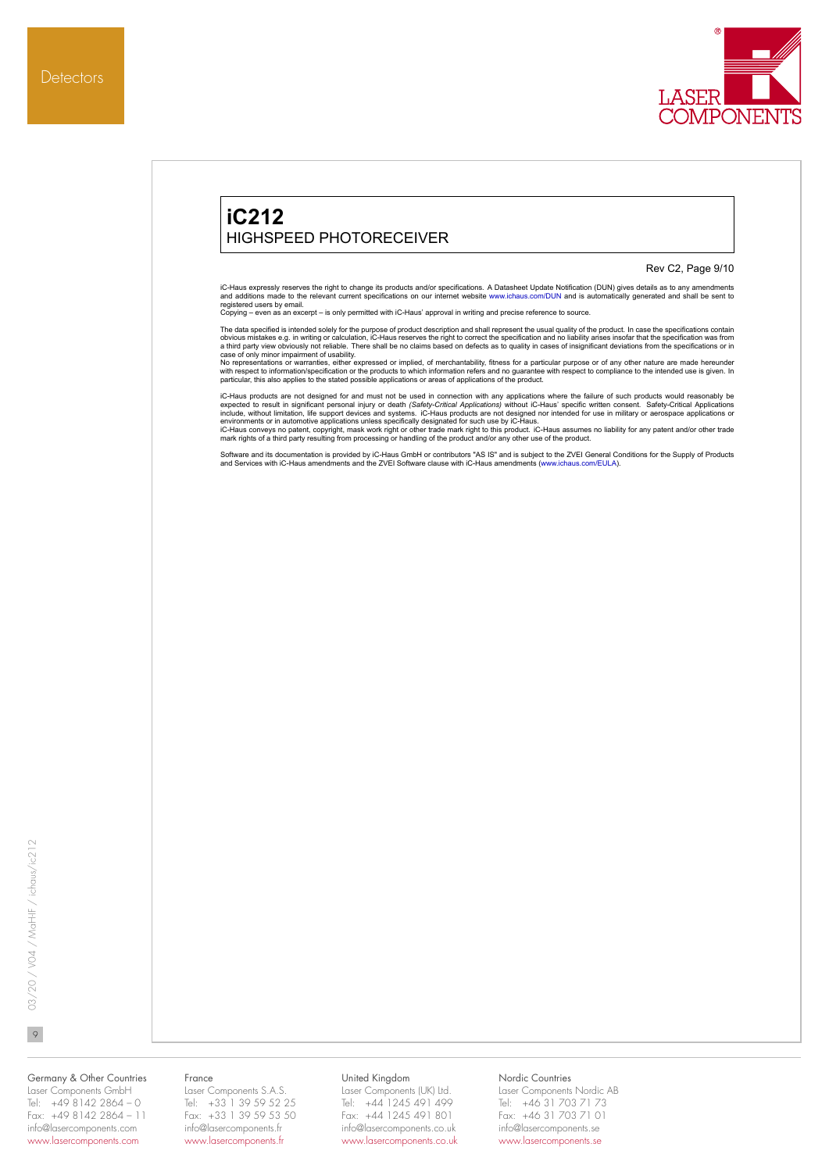



03/20 / V04 / MaH-IF / ichaus/ic212 903/20 / V04 / MaH-IF / ichaus/ic212

 $\circ$ 

## Germany & Other Countries Laser Components GmbH

Tel:  $+4981422864 - 0$ Fax: +49 8142 2864 – 11 info@lasercomponents.com www.lasercomponents.com

#### France

Laser Components S.A.S. Tel: +33 1 39 59 52 25 Fax: +33 1 39 59 53 50 info@lasercomponents.fr www.lasercomponents.fr

#### United Kingdom

Laser Components (UK) Ltd. Tel: +44 1245 491 499 Fax: +44 1245 491 801 info@lasercomponents.co.uk www.lasercomponents.co.uk

# Nordic Countries